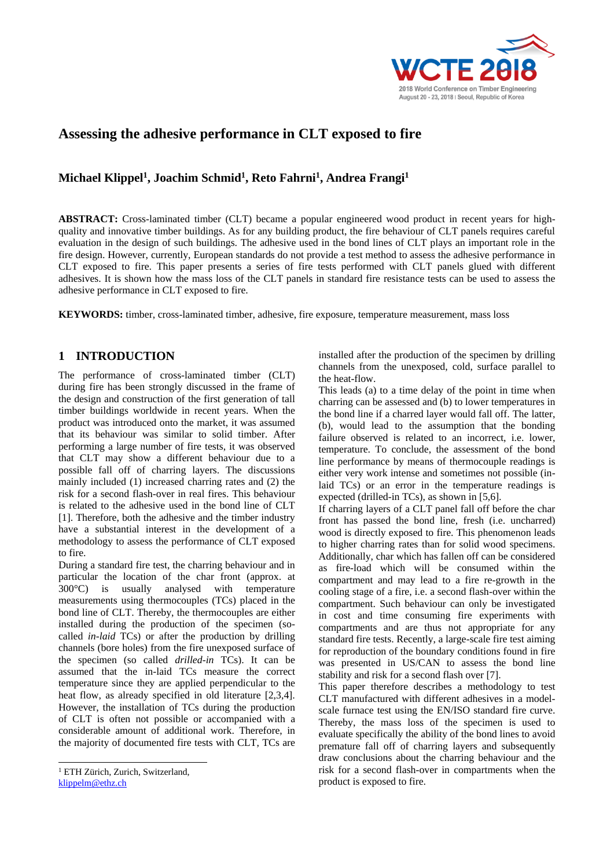

# **Assessing the adhesive performance in CLT exposed to fire**

# **Michael Klippel<sup>1</sup> , Joachim Schmid<sup>1</sup> , Reto Fahrni<sup>1</sup> , Andrea Frangi<sup>1</sup>**

**ABSTRACT:** Cross-laminated timber (CLT) became a popular engineered wood product in recent years for highquality and innovative timber buildings. As for any building product, the fire behaviour of CLT panels requires careful evaluation in the design of such buildings. The adhesive used in the bond lines of CLT plays an important role in the fire design. However, currently, European standards do not provide a test method to assess the adhesive performance in CLT exposed to fire. This paper presents a series of fire tests performed with CLT panels glued with different adhesives. It is shown how the mass loss of the CLT panels in standard fire resistance tests can be used to assess the adhesive performance in CLT exposed to fire.

**KEYWORDS:** timber, cross-laminated timber, adhesive, fire exposure, temperature measurement, mass loss

# **1 INTRODUCTION <sup>123</sup>**

The performance of cross-laminated timber (CLT) during fire has been strongly discussed in the frame of the design and construction of the first generation of tall timber buildings worldwide in recent years. When the product was introduced onto the market, it was assumed that its behaviour was similar to solid timber. After performing a large number of fire tests, it was observed that CLT may show a different behaviour due to a possible fall off of charring layers. The discussions mainly included (1) increased charring rates and (2) the risk for a second flash-over in real fires. This behaviour is related to the adhesive used in the bond line of CLT [1]. Therefore, both the adhesive and the timber industry have a substantial interest in the development of a methodology to assess the performance of CLT exposed to fire.

During a standard fire test, the charring behaviour and in particular the location of the char front (approx. at 300°C) is usually analysed with temperature measurements using thermocouples (TCs) placed in the bond line of CLT. Thereby, the thermocouples are either installed during the production of the specimen (socalled *in-laid* TCs) or after the production by drilling channels (bore holes) from the fire unexposed surface of the specimen (so called *drilled-in* TCs). It can be assumed that the in-laid TCs measure the correct temperature since they are applied perpendicular to the heat flow, as already specified in old literature [2,3,4]. However, the installation of TCs during the production of CLT is often not possible or accompanied with a considerable amount of additional work. Therefore, in the majority of documented fire tests with CLT, TCs are

 $\overline{a}$ 

installed after the production of the specimen by drilling channels from the unexposed, cold, surface parallel to the heat-flow.

This leads (a) to a time delay of the point in time when charring can be assessed and (b) to lower temperatures in the bond line if a charred layer would fall off. The latter, (b), would lead to the assumption that the bonding failure observed is related to an incorrect, i.e. lower, temperature. To conclude, the assessment of the bond line performance by means of thermocouple readings is either very work intense and sometimes not possible (inlaid TCs) or an error in the temperature readings is expected (drilled-in TCs), as shown in [5,6].

If charring layers of a CLT panel fall off before the char front has passed the bond line, fresh (i.e. uncharred) wood is directly exposed to fire. This phenomenon leads to higher charring rates than for solid wood specimens. Additionally, char which has fallen off can be considered as fire-load which will be consumed within the compartment and may lead to a fire re-growth in the cooling stage of a fire, i.e. a second flash-over within the compartment. Such behaviour can only be investigated in cost and time consuming fire experiments with compartments and are thus not appropriate for any standard fire tests. Recently, a large-scale fire test aiming for reproduction of the boundary conditions found in fire was presented in US/CAN to assess the bond line stability and risk for a second flash over [7].

This paper therefore describes a methodology to test CLT manufactured with different adhesives in a modelscale furnace test using the EN/ISO standard fire curve. Thereby, the mass loss of the specimen is used to evaluate specifically the ability of the bond lines to avoid premature fall off of charring layers and subsequently draw conclusions about the charring behaviour and the risk for a second flash-over in compartments when the product is exposed to fire.

<sup>&</sup>lt;sup>1</sup> ETH Zürich, Zurich, Switzerland, [klippelm@ethz.ch](mailto:klippelm@ethz.ch)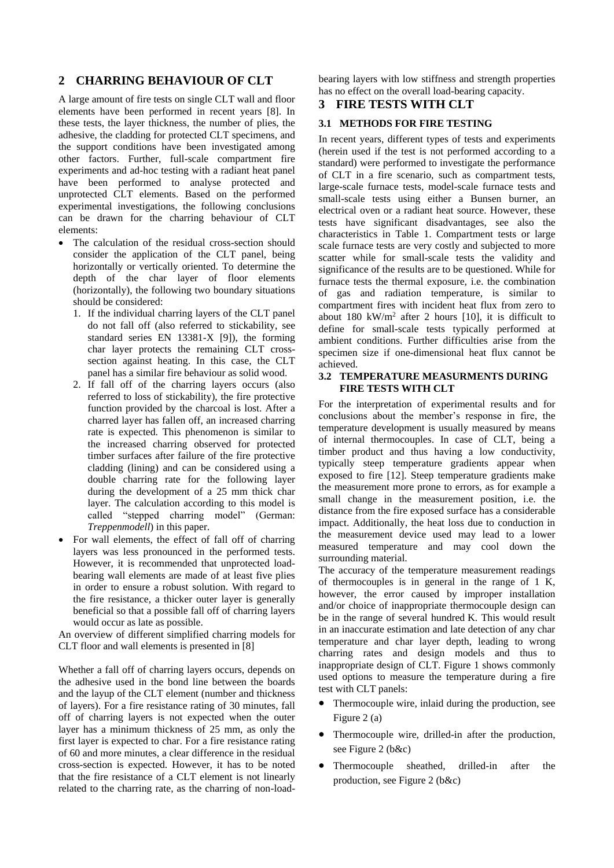### **2 CHARRING BEHAVIOUR OF CLT**

A large amount of fire tests on single CLT wall and floor elements have been performed in recent years [8]. In these tests, the layer thickness, the number of plies, the adhesive, the cladding for protected CLT specimens, and the support conditions have been investigated among other factors. Further, full-scale compartment fire experiments and ad-hoc testing with a radiant heat panel have been performed to analyse protected and unprotected CLT elements. Based on the performed experimental investigations, the following conclusions can be drawn for the charring behaviour of CLT elements:

- The calculation of the residual cross-section should consider the application of the CLT panel, being horizontally or vertically oriented. To determine the depth of the char layer of floor elements (horizontally), the following two boundary situations should be considered:
	- 1. If the individual charring layers of the CLT panel do not fall off (also referred to stickability, see standard series EN 13381-X [9]), the forming char layer protects the remaining CLT crosssection against heating. In this case, the CLT panel has a similar fire behaviour as solid wood.
	- 2. If fall off of the charring layers occurs (also referred to loss of stickability), the fire protective function provided by the charcoal is lost. After a charred layer has fallen off, an increased charring rate is expected. This phenomenon is similar to the increased charring observed for protected timber surfaces after failure of the fire protective cladding (lining) and can be considered using a double charring rate for the following layer during the development of a 25 mm thick char layer. The calculation according to this model is called "stepped charring model" (German: *Treppenmodell*) in this paper.
- For wall elements, the effect of fall off of charring layers was less pronounced in the performed tests. However, it is recommended that unprotected loadbearing wall elements are made of at least five plies in order to ensure a robust solution. With regard to the fire resistance, a thicker outer layer is generally beneficial so that a possible fall off of charring layers would occur as late as possible.

An overview of different simplified charring models for CLT floor and wall elements is presented in [8]

Whether a fall off of charring layers occurs, depends on the adhesive used in the bond line between the boards and the layup of the CLT element (number and thickness of layers). For a fire resistance rating of 30 minutes, fall off of charring layers is not expected when the outer layer has a minimum thickness of 25 mm, as only the first layer is expected to char. For a fire resistance rating of 60 and more minutes, a clear difference in the residual cross-section is expected. However, it has to be noted that the fire resistance of a CLT element is not linearly related to the charring rate, as the charring of non-load-

bearing layers with low stiffness and strength properties has no effect on the overall load-bearing capacity.

### **3 FIRE TESTS WITH CLT**

#### **3.1 METHODS FOR FIRE TESTING**

In recent years, different types of tests and experiments (herein used if the test is not performed according to a standard) were performed to investigate the performance of CLT in a fire scenario, such as compartment tests, large-scale furnace tests, model-scale furnace tests and small-scale tests using either a Bunsen burner, an electrical oven or a radiant heat source. However, these tests have significant disadvantages, see also the characteristics in Table 1. Compartment tests or large scale furnace tests are very costly and subjected to more scatter while for small-scale tests the validity and significance of the results are to be questioned. While for furnace tests the thermal exposure, i.e. the combination of gas and radiation temperature, is similar to compartment fires with incident heat flux from zero to about 180 kW/m<sup>2</sup> after 2 hours [10], it is difficult to define for small-scale tests typically performed at ambient conditions. Further difficulties arise from the specimen size if one-dimensional heat flux cannot be achieved.

#### **3.2 TEMPERATURE MEASURMENTS DURING FIRE TESTS WITH CLT**

For the interpretation of experimental results and for conclusions about the member's response in fire, the temperature development is usually measured by means of internal thermocouples. In case of CLT, being a timber product and thus having a low conductivity, typically steep temperature gradients appear when exposed to fire [12]. Steep temperature gradients make the measurement more prone to errors, as for example a small change in the measurement position, i.e. the distance from the fire exposed surface has a considerable impact. Additionally, the heat loss due to conduction in the measurement device used may lead to a lower measured temperature and may cool down the surrounding material.

The accuracy of the temperature measurement readings of thermocouples is in general in the range of  $1 \text{ K}$ , however, the error caused by improper installation and/or choice of inappropriate thermocouple design can be in the range of several hundred K. This would result in an inaccurate estimation and late detection of any char temperature and char layer depth, leading to wrong charring rates and design models and thus to inappropriate design of CLT. Figure 1 shows commonly used options to measure the temperature during a fire test with CLT panels:

- Thermocouple wire, inlaid during the production, see Figure 2 (a)
- Thermocouple wire, drilled-in after the production, see Figure 2 (b&c)
- Thermocouple sheathed, drilled-in after the production, see Figure 2 (b&c)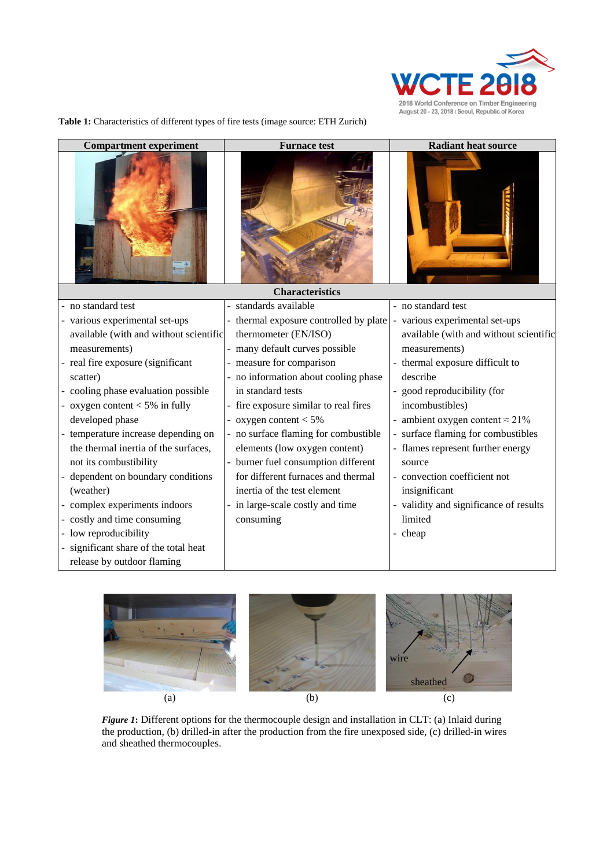

**Table 1:** Characteristics of different types of fire tests (image source: ETH Zurich)

| <b>Compartment experiment</b>          | <b>Furnace test</b>                    | <b>Radiant heat source</b>             |  |  |  |  |  |  |
|----------------------------------------|----------------------------------------|----------------------------------------|--|--|--|--|--|--|
|                                        |                                        |                                        |  |  |  |  |  |  |
| <b>Characteristics</b>                 |                                        |                                        |  |  |  |  |  |  |
| - no standard test                     | - standards available                  | - no standard test                     |  |  |  |  |  |  |
| - various experimental set-ups         | - thermal exposure controlled by plate | - various experimental set-ups         |  |  |  |  |  |  |
| available (with and without scientific | thermometer (EN/ISO)                   | available (with and without scientific |  |  |  |  |  |  |
| measurements)                          | - many default curves possible         | measurements)                          |  |  |  |  |  |  |
| - real fire exposure (significant      | - measure for comparison               | - thermal exposure difficult to        |  |  |  |  |  |  |
| scatter)                               | - no information about cooling phase   | describe                               |  |  |  |  |  |  |
| - cooling phase evaluation possible    | in standard tests                      | - good reproducibility (for            |  |  |  |  |  |  |
| - oxygen content $<$ 5% in fully       | - fire exposure similar to real fires  | incombustibles)                        |  |  |  |  |  |  |
| developed phase                        | - oxygen content $< 5\%$               | - ambient oxygen content $\approx$ 21% |  |  |  |  |  |  |
| - temperature increase depending on    | - no surface flaming for combustible   | - surface flaming for combustibles     |  |  |  |  |  |  |
| the thermal inertia of the surfaces,   | elements (low oxygen content)          | - flames represent further energy      |  |  |  |  |  |  |
| not its combustibility                 | - burner fuel consumption different    | source                                 |  |  |  |  |  |  |
| - dependent on boundary conditions     | for different furnaces and thermal     | - convection coefficient not           |  |  |  |  |  |  |
| (weather)                              | inertia of the test element            | insignificant                          |  |  |  |  |  |  |
| - complex experiments indoors          | in large-scale costly and time         | - validity and significance of results |  |  |  |  |  |  |
| - costly and time consuming            | consuming                              | limited                                |  |  |  |  |  |  |
| - low reproducibility                  |                                        | - cheap                                |  |  |  |  |  |  |
| - significant share of the total heat  |                                        |                                        |  |  |  |  |  |  |
| release by outdoor flaming             |                                        |                                        |  |  |  |  |  |  |



*Figure 1*: Different options for the thermocouple design and installation in CLT: (a) Inlaid during the production, (b) drilled-in after the production from the fire unexposed side, (c) drilled-in wires and sheathed thermocouples.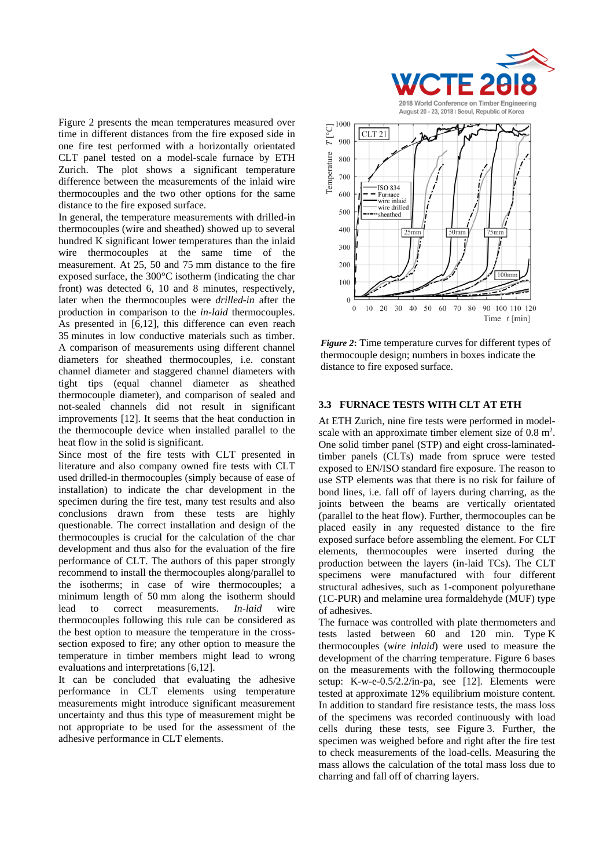Figure 2 presents the mean temperatures measured over time in different distances from the fire exposed side in one fire test performed with a horizontally orientated CLT panel tested on a model-scale furnace by ETH Zurich. The plot shows a significant temperature difference between the measurements of the inlaid wire thermocouples and the two other options for the same distance to the fire exposed surface.

In general, the temperature measurements with drilled-in thermocouples (wire and sheathed) showed up to several hundred K significant lower temperatures than the inlaid wire thermocouples at the same time of the measurement. At 25, 50 and 75 mm distance to the fire exposed surface, the 300°C isotherm (indicating the char front) was detected 6, 10 and 8 minutes, respectively, later when the thermocouples were *drilled-in* after the production in comparison to the *in-laid* thermocouples. As presented in [6,12], this difference can even reach 35 minutes in low conductive materials such as timber. A comparison of measurements using different channel diameters for sheathed thermocouples, i.e. constant channel diameter and staggered channel diameters with tight tips (equal channel diameter as sheathed thermocouple diameter), and comparison of sealed and not-sealed channels did not result in significant improvements [12]. It seems that the heat conduction in the thermocouple device when installed parallel to the heat flow in the solid is significant.

Since most of the fire tests with CLT presented in literature and also company owned fire tests with CLT used drilled-in thermocouples (simply because of ease of installation) to indicate the char development in the specimen during the fire test, many test results and also conclusions drawn from these tests are highly questionable. The correct installation and design of the thermocouples is crucial for the calculation of the char development and thus also for the evaluation of the fire performance of CLT. The authors of this paper strongly recommend to install the thermocouples along/parallel to the isotherms; in case of wire thermocouples; a minimum length of 50 mm along the isotherm should lead to correct measurements. *In-laid* wire thermocouples following this rule can be considered as the best option to measure the temperature in the crosssection exposed to fire; any other option to measure the temperature in timber members might lead to wrong evaluations and interpretations [6,12].

It can be concluded that evaluating the adhesive performance in CLT elements using temperature measurements might introduce significant measurement uncertainty and thus this type of measurement might be not appropriate to be used for the assessment of the adhesive performance in CLT elements.



*Figure 2***:** Time temperature curves for different types of thermocouple design; numbers in boxes indicate the distance to fire exposed surface.

#### **3.3 FURNACE TESTS WITH CLT AT ETH**

At ETH Zurich, nine fire tests were performed in modelscale with an approximate timber element size of  $0.8 \text{ m}^2$ . One solid timber panel (STP) and eight cross-laminatedtimber panels (CLTs) made from spruce were tested exposed to EN/ISO standard fire exposure. The reason to use STP elements was that there is no risk for failure of bond lines, i.e. fall off of layers during charring, as the joints between the beams are vertically orientated (parallel to the heat flow). Further, thermocouples can be placed easily in any requested distance to the fire exposed surface before assembling the element. For CLT elements, thermocouples were inserted during the production between the layers (in-laid TCs). The CLT specimens were manufactured with four different structural adhesives, such as 1-component polyurethane (1C-PUR) and melamine urea formaldehyde (MUF) type of adhesives.

The furnace was controlled with plate thermometers and tests lasted between 60 and 120 min. Type K thermocouples (*wire inlaid*) were used to measure the development of the charring temperature. Figure 6 bases on the measurements with the following thermocouple setup: K-w-e-0.5/2.2/in-pa, see [12]. Elements were tested at approximate 12% equilibrium moisture content. In addition to standard fire resistance tests, the mass loss of the specimens was recorded continuously with load cells during these tests, see Figure 3. Further, the specimen was weighed before and right after the fire test to check measurements of the load-cells. Measuring the mass allows the calculation of the total mass loss due to charring and fall off of charring layers.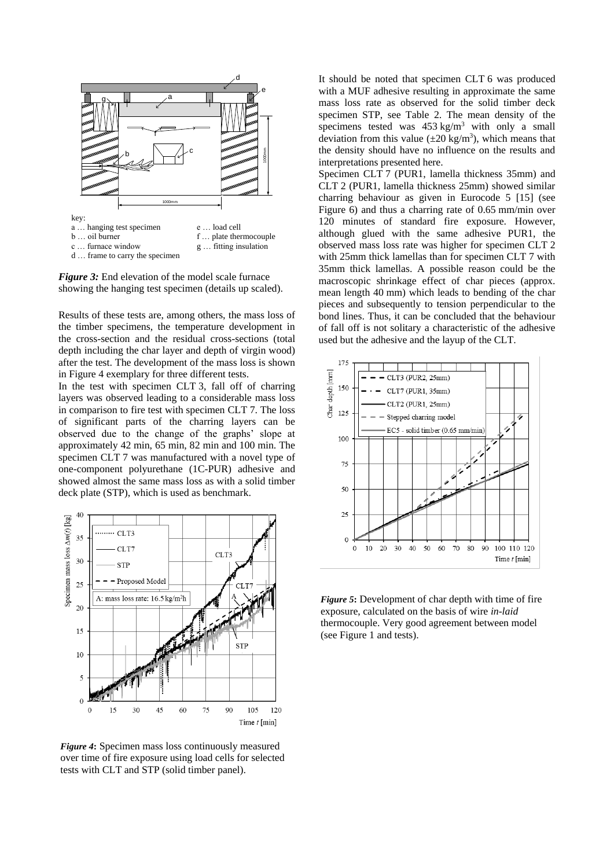

*Figure 3:* End elevation of the model scale furnace showing the hanging test specimen (details up scaled).

Results of these tests are, among others, the mass loss of the timber specimens, the temperature development in the cross-section and the residual cross-sections (total depth including the char layer and depth of virgin wood) after the test. The development of the mass loss is shown in Figure 4 exemplary for three different tests.

In the test with specimen CLT 3, fall off of charring layers was observed leading to a considerable mass loss in comparison to fire test with specimen CLT 7. The loss of significant parts of the charring layers can be observed due to the change of the graphs' slope at approximately 42 min, 65 min, 82 min and 100 min. The specimen CLT 7 was manufactured with a novel type of one-component polyurethane (1C-PUR) adhesive and showed almost the same mass loss as with a solid timber deck plate (STP), which is used as benchmark.



*Figure 4***:** Specimen mass loss continuously measured over time of fire exposure using load cells for selected tests with CLT and STP (solid timber panel).

It should be noted that specimen CLT 6 was produced with a MUF adhesive resulting in approximate the same mass loss rate as observed for the solid timber deck specimen STP, see Table 2. The mean density of the specimens tested was  $453 \text{ kg/m}^3$  with only a small deviation from this value  $(\pm 20 \text{ kg/m}^3)$ , which means that the density should have no influence on the results and interpretations presented here.

Specimen CLT 7 (PUR1, lamella thickness 35mm) and CLT 2 (PUR1, lamella thickness 25mm) showed similar charring behaviour as given in Eurocode 5 [15] (see Figure 6) and thus a charring rate of 0.65 mm/min over 120 minutes of standard fire exposure. However, although glued with the same adhesive PUR1, the observed mass loss rate was higher for specimen CLT 2 with 25mm thick lamellas than for specimen CLT 7 with 35mm thick lamellas. A possible reason could be the macroscopic shrinkage effect of char pieces (approx. mean length 40 mm) which leads to bending of the char pieces and subsequently to tension perpendicular to the bond lines. Thus, it can be concluded that the behaviour of fall off is not solitary a characteristic of the adhesive used but the adhesive and the layup of the CLT.

![](_page_4_Figure_8.jpeg)

*Figure 5***:** Development of char depth with time of fire exposure, calculated on the basis of wire *in-laid* thermocouple. Very good agreement between model (see Figure 1 and tests).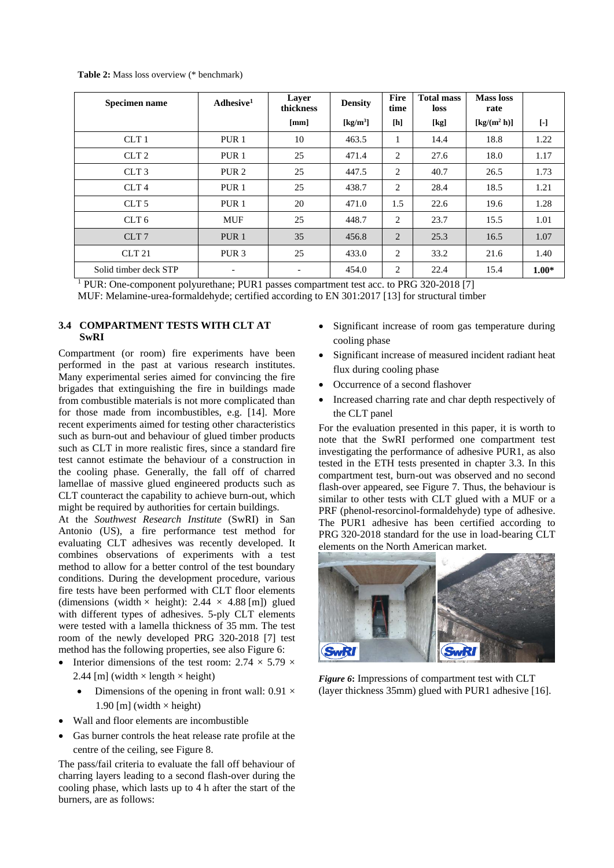**Table 2:** Mass loss overview (\* benchmark)

| Specimen name         | Adhesive <sup>1</sup>    | Layer<br>thickness       | <b>Density</b>                 | Fire<br>time   | <b>Total mass</b><br><b>loss</b> | <b>Mass loss</b><br>rate                             |           |
|-----------------------|--------------------------|--------------------------|--------------------------------|----------------|----------------------------------|------------------------------------------------------|-----------|
|                       |                          | [mm]                     | $\left[\mathrm{kg/m^3}\right]$ | [h]            | [kg]                             | $\left[\frac{\text{kg}}{\text{m}^2 \text{h}}\right]$ | $[\cdot]$ |
| CLT <sub>1</sub>      | PUR <sub>1</sub>         | 10                       | 463.5                          | 1              | 14.4                             | 18.8                                                 | 1.22      |
| CLT <sub>2</sub>      | PUR <sub>1</sub>         | 25                       | 471.4                          | 2              | 27.6                             | 18.0                                                 | 1.17      |
| CLT <sub>3</sub>      | PUR <sub>2</sub>         | 25                       | 447.5                          | 2              | 40.7                             | 26.5                                                 | 1.73      |
| CLT <sub>4</sub>      | PUR <sub>1</sub>         | 25                       | 438.7                          | 2              | 28.4                             | 18.5                                                 | 1.21      |
| CLT <sub>5</sub>      | PUR <sub>1</sub>         | 20                       | 471.0                          | 1.5            | 22.6                             | 19.6                                                 | 1.28      |
| CLT <sub>6</sub>      | <b>MUF</b>               | 25                       | 448.7                          | 2              | 23.7                             | 15.5                                                 | 1.01      |
| CLT <sub>7</sub>      | PUR <sub>1</sub>         | 35                       | 456.8                          | $\overline{c}$ | 25.3                             | 16.5                                                 | 1.07      |
| <b>CLT 21</b>         | PUR <sub>3</sub>         | 25                       | 433.0                          | 2              | 33.2                             | 21.6                                                 | 1.40      |
| Solid timber deck STP | $\overline{\phantom{a}}$ | $\overline{\phantom{a}}$ | 454.0                          | 2              | 22.4                             | 15.4                                                 | $1.00*$   |

<sup>1</sup> PUR: One-component polyurethane; PUR1 passes compartment test acc. to PRG 320-2018 [7]

MUF: Melamine-urea-formaldehyde; certified according to EN 301:2017 [13] for structural timber

#### **3.4 COMPARTMENT TESTS WITH CLT AT SwRI**

Compartment (or room) fire experiments have been performed in the past at various research institutes. Many experimental series aimed for convincing the fire brigades that extinguishing the fire in buildings made from combustible materials is not more complicated than for those made from incombustibles, e.g. [14]. More recent experiments aimed for testing other characteristics such as burn-out and behaviour of glued timber products such as CLT in more realistic fires, since a standard fire test cannot estimate the behaviour of a construction in the cooling phase. Generally, the fall off of charred lamellae of massive glued engineered products such as CLT counteract the capability to achieve burn-out, which might be required by authorities for certain buildings.

At the *Southwest Research Institute* (SwRI) in San Antonio (US), a fire performance test method for evaluating CLT adhesives was recently developed. It combines observations of experiments with a test method to allow for a better control of the test boundary conditions. During the development procedure, various fire tests have been performed with CLT floor elements (dimensions (width  $\times$  height): 2.44  $\times$  4.88 [m]) glued with different types of adhesives. 5-ply CLT elements were tested with a lamella thickness of 35 mm. The test room of the newly developed PRG 320-2018 [7] test method has the following properties, see also Figure 6:

- Interior dimensions of the test room:  $2.74 \times 5.79 \times$ 2.44 [m] (width  $\times$  length  $\times$  height)
	- Dimensions of the opening in front wall:  $0.91 \times$ 1.90 [m] (width  $\times$  height)
- Wall and floor elements are incombustible
- Gas burner controls the heat release rate profile at the centre of the ceiling, see Figure 8.

The pass/fail criteria to evaluate the fall off behaviour of charring layers leading to a second flash-over during the cooling phase, which lasts up to 4 h after the start of the burners, are as follows:

- Significant increase of room gas temperature during cooling phase
- Significant increase of measured incident radiant heat flux during cooling phase
- Occurrence of a second flashover
- Increased charring rate and char depth respectively of the CLT panel

For the evaluation presented in this paper, it is worth to note that the SwRI performed one compartment test investigating the performance of adhesive PUR1, as also tested in the ETH tests presented in chapter 3.3. In this compartment test, burn-out was observed and no second flash-over appeared, see Figure 7. Thus, the behaviour is similar to other tests with CLT glued with a MUF or a PRF (phenol-resorcinol-formaldehyde) type of adhesive. The PUR1 adhesive has been certified according to PRG 320-2018 standard for the use in load-bearing CLT elements on the North American market.

![](_page_5_Picture_17.jpeg)

*Figure 6***:** Impressions of compartment test with CLT (layer thickness 35mm) glued with PUR1 adhesive [16].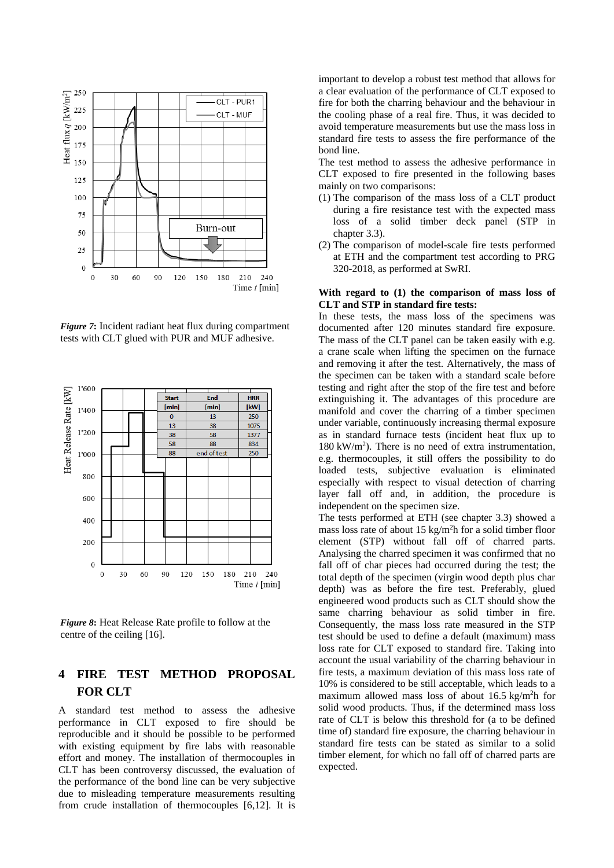![](_page_6_Figure_0.jpeg)

*Figure 7***:** Incident radiant heat flux during compartment tests with CLT glued with PUR and MUF adhesive.

![](_page_6_Figure_2.jpeg)

*Figure 8***:** Heat Release Rate profile to follow at the centre of the ceiling [16].

# **4 FIRE TEST METHOD PROPOSAL FOR CLT**

A standard test method to assess the adhesive performance in CLT exposed to fire should be reproducible and it should be possible to be performed with existing equipment by fire labs with reasonable effort and money. The installation of thermocouples in CLT has been controversy discussed, the evaluation of the performance of the bond line can be very subjective due to misleading temperature measurements resulting from crude installation of thermocouples [6,12]. It is

important to develop a robust test method that allows for a clear evaluation of the performance of CLT exposed to fire for both the charring behaviour and the behaviour in the cooling phase of a real fire. Thus, it was decided to avoid temperature measurements but use the mass loss in standard fire tests to assess the fire performance of the bond line.

The test method to assess the adhesive performance in CLT exposed to fire presented in the following bases mainly on two comparisons:

- (1) The comparison of the mass loss of a CLT product during a fire resistance test with the expected mass loss of a solid timber deck panel (STP in chapter 3.3).
- (2) The comparison of model-scale fire tests performed at ETH and the compartment test according to PRG 320-2018, as performed at SwRI.

#### **With regard to (1) the comparison of mass loss of CLT and STP in standard fire tests:**

In these tests, the mass loss of the specimens was documented after 120 minutes standard fire exposure. The mass of the CLT panel can be taken easily with e.g. a crane scale when lifting the specimen on the furnace and removing it after the test. Alternatively, the mass of the specimen can be taken with a standard scale before testing and right after the stop of the fire test and before extinguishing it. The advantages of this procedure are manifold and cover the charring of a timber specimen under variable, continuously increasing thermal exposure as in standard furnace tests (incident heat flux up to 180 kW/m<sup>2</sup> ). There is no need of extra instrumentation, e.g. thermocouples, it still offers the possibility to do loaded tests, subjective evaluation is eliminated especially with respect to visual detection of charring layer fall off and, in addition, the procedure is independent on the specimen size.

The tests performed at ETH (see chapter 3.3) showed a mass loss rate of about 15 kg/m<sup>2</sup>h for a solid timber floor element (STP) without fall off of charred parts. Analysing the charred specimen it was confirmed that no fall off of char pieces had occurred during the test; the total depth of the specimen (virgin wood depth plus char depth) was as before the fire test. Preferably, glued engineered wood products such as CLT should show the same charring behaviour as solid timber in fire. Consequently, the mass loss rate measured in the STP test should be used to define a default (maximum) mass loss rate for CLT exposed to standard fire. Taking into account the usual variability of the charring behaviour in fire tests, a maximum deviation of this mass loss rate of 10% is considered to be still acceptable, which leads to a maximum allowed mass loss of about  $16.5 \text{ kg/m}^2$ h for solid wood products. Thus, if the determined mass loss rate of CLT is below this threshold for (a to be defined time of) standard fire exposure, the charring behaviour in standard fire tests can be stated as similar to a solid timber element, for which no fall off of charred parts are expected.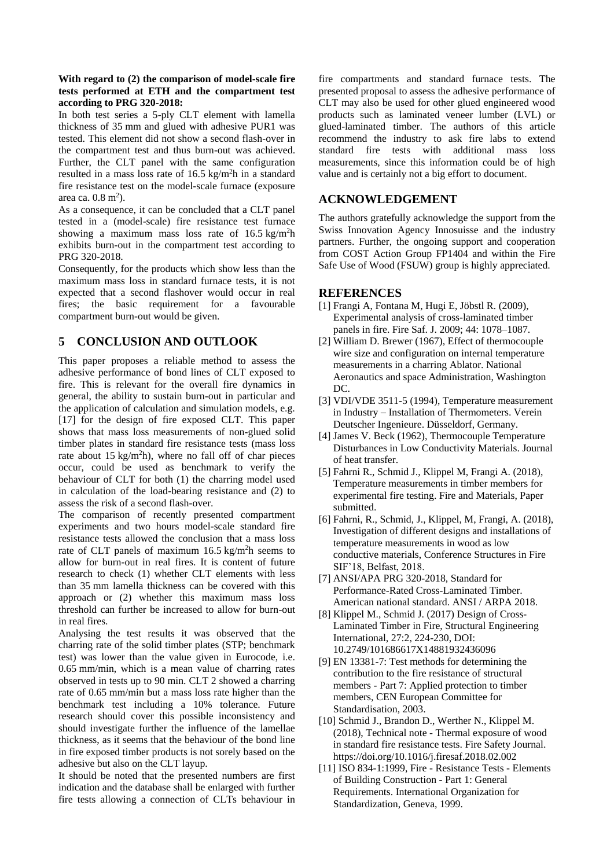#### **With regard to (2) the comparison of model-scale fire tests performed at ETH and the compartment test according to PRG 320-2018:**

In both test series a 5-ply CLT element with lamella thickness of 35 mm and glued with adhesive PUR1 was tested. This element did not show a second flash-over in the compartment test and thus burn-out was achieved. Further, the CLT panel with the same configuration resulted in a mass loss rate of 16.5 kg/m<sup>2</sup>h in a standard fire resistance test on the model-scale furnace (exposure area ca.  $0.8 \text{ m}^2$ ).

As a consequence, it can be concluded that a CLT panel tested in a (model-scale) fire resistance test furnace showing a maximum mass loss rate of  $16.5 \text{ kg/m}^2$ h exhibits burn-out in the compartment test according to PRG 320-2018.

Consequently, for the products which show less than the maximum mass loss in standard furnace tests, it is not expected that a second flashover would occur in real fires; the basic requirement for a favourable compartment burn-out would be given.

## **5 CONCLUSION AND OUTLOOK**

This paper proposes a reliable method to assess the adhesive performance of bond lines of CLT exposed to fire. This is relevant for the overall fire dynamics in general, the ability to sustain burn-out in particular and the application of calculation and simulation models, e.g. [17] for the design of fire exposed CLT. This paper shows that mass loss measurements of non-glued solid timber plates in standard fire resistance tests (mass loss rate about 15 kg/m<sup>2</sup>h), where no fall off of char pieces occur, could be used as benchmark to verify the behaviour of CLT for both (1) the charring model used in calculation of the load-bearing resistance and (2) to assess the risk of a second flash-over.

The comparison of recently presented compartment experiments and two hours model-scale standard fire resistance tests allowed the conclusion that a mass loss rate of CLT panels of maximum  $16.5 \text{ kg/m}^2$ h seems to allow for burn-out in real fires. It is content of future research to check (1) whether CLT elements with less than 35 mm lamella thickness can be covered with this approach or (2) whether this maximum mass loss threshold can further be increased to allow for burn-out in real fires.

Analysing the test results it was observed that the charring rate of the solid timber plates (STP; benchmark test) was lower than the value given in Eurocode, i.e. 0.65 mm/min, which is a mean value of charring rates observed in tests up to 90 min. CLT 2 showed a charring rate of 0.65 mm/min but a mass loss rate higher than the benchmark test including a 10% tolerance. Future research should cover this possible inconsistency and should investigate further the influence of the lamellae thickness, as it seems that the behaviour of the bond line in fire exposed timber products is not sorely based on the adhesive but also on the CLT layup.

It should be noted that the presented numbers are first indication and the database shall be enlarged with further fire tests allowing a connection of CLTs behaviour in

fire compartments and standard furnace tests. The presented proposal to assess the adhesive performance of CLT may also be used for other glued engineered wood products such as laminated veneer lumber (LVL) or glued-laminated timber. The authors of this article recommend the industry to ask fire labs to extend standard fire tests with additional mass loss measurements, since this information could be of high value and is certainly not a big effort to document.

### **ACKNOWLEDGEMENT**

The authors gratefully acknowledge the support from the Swiss Innovation Agency Innosuisse and the industry partners. Further, the ongoing support and cooperation from COST Action Group FP1404 and within the Fire Safe Use of Wood (FSUW) group is highly appreciated.

#### **REFERENCES**

- [1] Frangi A, Fontana M, Hugi E, Jöbstl R. (2009), Experimental analysis of cross-laminated timber panels in fire. Fire Saf. J. 2009; 44: 1078–1087.
- [2] William D. Brewer (1967), Effect of thermocouple wire size and configuration on internal temperature measurements in a charring Ablator. National Aeronautics and space Administration, Washington DC.
- [3] VDI/VDE 3511-5 (1994), Temperature measurement in Industry – Installation of Thermometers. Verein Deutscher Ingenieure. Düsseldorf, Germany.
- [4] James V. Beck (1962), Thermocouple Temperature Disturbances in Low Conductivity Materials. Journal of heat transfer.
- [5] Fahrni R., Schmid J., Klippel M, Frangi A. (2018), Temperature measurements in timber members for experimental fire testing. Fire and Materials, Paper submitted.
- [6] Fahrni, R., Schmid, J., Klippel, M, Frangi, A. (2018), Investigation of different designs and installations of temperature measurements in wood as low conductive materials, Conference Structures in Fire SIF'18, Belfast, 2018.
- [7] ANSI/APA PRG 320-2018, Standard for Performance-Rated Cross-Laminated Timber. American national standard. ANSI / ARPA 2018.
- [8] Klippel M., Schmid J. (2017) Design of Cross-Laminated Timber in Fire, Structural Engineering International, 27:2, 224-230, DOI: 10.2749/101686617X14881932436096
- [9] EN 13381-7: Test methods for determining the contribution to the fire resistance of structural members - Part 7: Applied protection to timber members, CEN European Committee for Standardisation, 2003.
- [10] Schmid J., Brandon D., Werther N., Klippel M. (2018), Technical note - Thermal exposure of wood in standard fire resistance tests. Fire Safety Journal. https://doi.org/10.1016/j.firesaf.2018.02.002
- [11] ISO 834-1:1999, Fire Resistance Tests Elements of Building Construction - Part 1: General Requirements. International Organization for Standardization, Geneva, 1999.